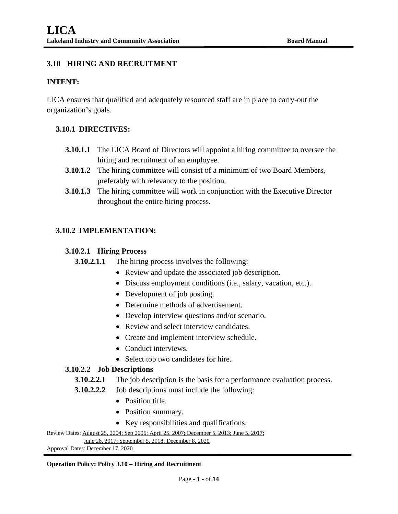## **3.10 HIRING AND RECRUITMENT**

#### **INTENT:**

LICA ensures that qualified and adequately resourced staff are in place to carry-out the organization's goals.

### **3.10.1 DIRECTIVES:**

- **3.10.1.1** The LICA Board of Directors will appoint a hiring committee to oversee the hiring and recruitment of an employee.
- **3.10.1.2** The hiring committee will consist of a minimum of two Board Members, preferably with relevancy to the position.
- **3.10.1.3** The hiring committee will work in conjunction with the Executive Director throughout the entire hiring process.

### **3.10.2 IMPLEMENTATION:**

### **3.10.2.1 Hiring Process**

- **3.10.2.1.1** The hiring process involves the following:
	- Review and update the associated job description.
	- Discuss employment conditions (i.e., salary, vacation, etc.).
	- Development of job posting.
	- Determine methods of advertisement.
	- Develop interview questions and/or scenario.
	- Review and select interview candidates.
	- Create and implement interview schedule.
	- Conduct interviews.
	- Select top two candidates for hire.

### **3.10.2.2 Job Descriptions**

- **3.10.2.2.1** The job description is the basis for a performance evaluation process.
- **3.10.2.2.2** Job descriptions must include the following:
	- Position title.
	- Position summary.
	- Key responsibilities and qualifications.

```
Review Dates: August 25, 2004; Sep 2006; April 25, 2007; December 5, 2013; June 5, 2017;
```
June 26, 2017; September 5, 2018; December 8, 2020

Approval Dates: December 17, 2020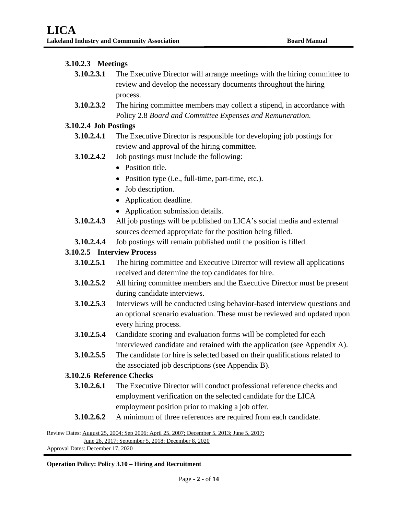### **3.10.2.3 Meetings**

- **3.10.2.3.1** The Executive Director will arrange meetings with the hiring committee to review and develop the necessary documents throughout the hiring process.
- **3.10.2.3.2** The hiring committee members may collect a stipend, in accordance with Policy 2.8 *Board and Committee Expenses and Remuneration.*

### **3.10.2.4 Job Postings**

- **3.10.2.4.1** The Executive Director is responsible for developing job postings for review and approval of the hiring committee.
- **3.10.2.4.2** Job postings must include the following:
	- Position title.
	- Position type (i.e., full-time, part-time, etc.).
	- Job description.
	- Application deadline.
	- Application submission details.
- **3.10.2.4.3** All job postings will be published on LICA's social media and external sources deemed appropriate for the position being filled.
- **3.10.2.4.4** Job postings will remain published until the position is filled.

### **3.10.2.5 Interview Process**

- **3.10.2.5.1** The hiring committee and Executive Director will review all applications received and determine the top candidates for hire.
- **3.10.2.5.2** All hiring committee members and the Executive Director must be present during candidate interviews.
- **3.10.2.5.3** Interviews will be conducted using behavior-based interview questions and an optional scenario evaluation. These must be reviewed and updated upon every hiring process.
- **3.10.2.5.4** Candidate scoring and evaluation forms will be completed for each interviewed candidate and retained with the application (see Appendix A).
- **3.10.2.5.5** The candidate for hire is selected based on their qualifications related to the associated job descriptions (see Appendix B).

### **3.10.2.6 Reference Checks**

- **3.10.2.6.1** The Executive Director will conduct professional reference checks and employment verification on the selected candidate for the LICA employment position prior to making a job offer.
- **3.10.2.6.2** A minimum of three references are required from each candidate.

Review Dates: August 25, 2004; Sep 2006; April 25, 2007; December 5, 2013; June 5, 2017;

June 26, 2017; September 5, 2018; December 8, 2020 Approval Dates: December 17, 2020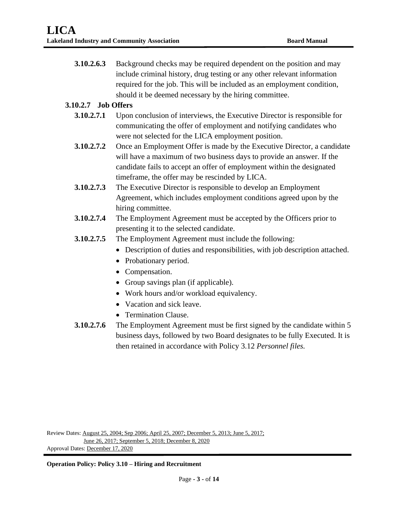**3.10.2.6.3** Background checks may be required dependent on the position and may include criminal history, drug testing or any other relevant information required for the job. This will be included as an employment condition, should it be deemed necessary by the hiring committee.

## **3.10.2.7 Job Offers**

- **3.10.2.7.1** Upon conclusion of interviews, the Executive Director is responsible for communicating the offer of employment and notifying candidates who were not selected for the LICA employment position.
- **3.10.2.7.2** Once an Employment Offer is made by the Executive Director, a candidate will have a maximum of two business days to provide an answer. If the candidate fails to accept an offer of employment within the designated timeframe, the offer may be rescinded by LICA.
- **3.10.2.7.3** The Executive Director is responsible to develop an Employment Agreement, which includes employment conditions agreed upon by the hiring committee.
- **3.10.2.7.4** The Employment Agreement must be accepted by the Officers prior to presenting it to the selected candidate.
- **3.10.2.7.5** The Employment Agreement must include the following:
	- Description of duties and responsibilities, with job description attached.
	- Probationary period.
	- Compensation.
	- Group savings plan (if applicable).
	- Work hours and/or workload equivalency.
	- Vacation and sick leave.
	- Termination Clause.
- **3.10.2.7.6** The Employment Agreement must be first signed by the candidate within 5 business days, followed by two Board designates to be fully Executed. It is then retained in accordance with Policy 3.12 *Personnel files.*

Review Dates: August 25, 2004; Sep 2006; April 25, 2007; December 5, 2013; June 5, 2017; June 26, 2017; September 5, 2018; December 8, 2020 Approval Dates: December 17, 2020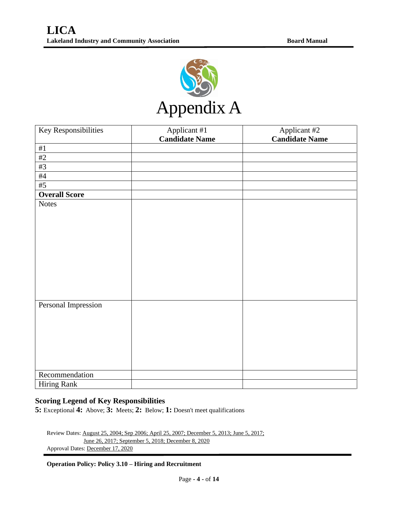

| Key Responsibilities | Applicant #1          | Applicant #2          |
|----------------------|-----------------------|-----------------------|
|                      | <b>Candidate Name</b> | <b>Candidate Name</b> |
| $\#1$                |                       |                       |
| #2                   |                       |                       |
| #3                   |                       |                       |
| $\#4$                |                       |                       |
| #5                   |                       |                       |
| <b>Overall Score</b> |                       |                       |
| <b>Notes</b>         |                       |                       |
|                      |                       |                       |
|                      |                       |                       |
|                      |                       |                       |
|                      |                       |                       |
|                      |                       |                       |
|                      |                       |                       |
|                      |                       |                       |
|                      |                       |                       |
|                      |                       |                       |
|                      |                       |                       |
| Personal Impression  |                       |                       |
|                      |                       |                       |
|                      |                       |                       |
|                      |                       |                       |
|                      |                       |                       |
|                      |                       |                       |
|                      |                       |                       |
|                      |                       |                       |
| Recommendation       |                       |                       |
| <b>Hiring Rank</b>   |                       |                       |

## **Scoring Legend of Key Responsibilities**

**5:** Exceptional **4:** Above; **3:** Meets; **2:** Below; **1:** Doesn't meet qualifications

Review Dates: August 25, 2004; Sep 2006; April 25, 2007; December 5, 2013; June 5, 2017; June 26, 2017; September 5, 2018; December 8, 2020 Approval Dates: December 17, 2020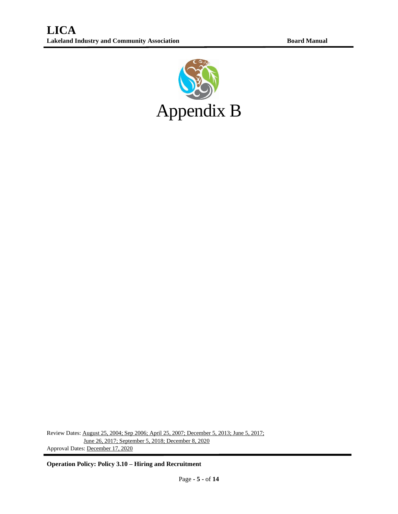

Review Dates: August 25, 2004; Sep 2006; April 25, 2007; December 5, 2013; June 5, 2017; June 26, 2017; September 5, 2018; December 8, 2020 Approval Dates: December 17, 2020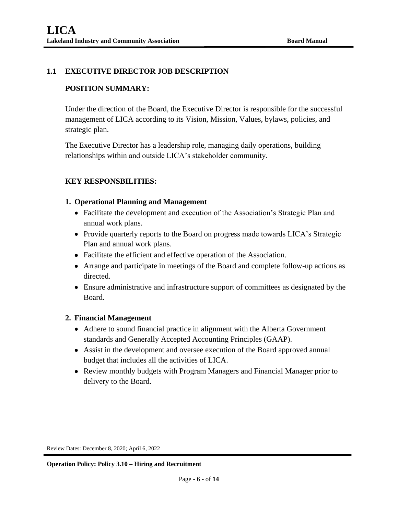## **1.1 EXECUTIVE DIRECTOR JOB DESCRIPTION**

## **POSITION SUMMARY:**

Under the direction of the Board, the Executive Director is responsible for the successful management of LICA according to its Vision, Mission, Values, bylaws, policies, and strategic plan.

The Executive Director has a leadership role, managing daily operations, building relationships within and outside LICA's stakeholder community.

## **KEY RESPONSBILITIES:**

### **1. Operational Planning and Management**

- Facilitate the development and execution of the Association's Strategic Plan and annual work plans.
- Provide quarterly reports to the Board on progress made towards LICA's Strategic Plan and annual work plans.
- Facilitate the efficient and effective operation of the Association.
- Arrange and participate in meetings of the Board and complete follow-up actions as directed.
- Ensure administrative and infrastructure support of committees as designated by the Board.

### **2. Financial Management**

- Adhere to sound financial practice in alignment with the Alberta Government standards and Generally Accepted Accounting Principles (GAAP).
- Assist in the development and oversee execution of the Board approved annual budget that includes all the activities of LICA.
- Review monthly budgets with Program Managers and Financial Manager prior to delivery to the Board.

Review Dates: December 8, 2020; April 6, 2022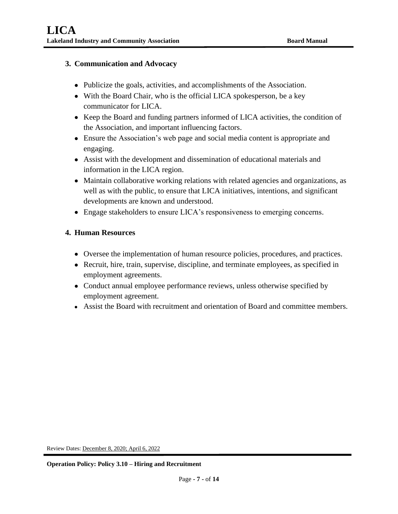### **3. Communication and Advocacy**

- Publicize the goals, activities, and accomplishments of the Association.
- With the Board Chair, who is the official LICA spokesperson, be a key communicator for LICA.
- Keep the Board and funding partners informed of LICA activities, the condition of the Association, and important influencing factors.
- Ensure the Association's web page and social media content is appropriate and engaging.
- Assist with the development and dissemination of educational materials and information in the LICA region.
- Maintain collaborative working relations with related agencies and organizations, as well as with the public, to ensure that LICA initiatives, intentions, and significant developments are known and understood.
- Engage stakeholders to ensure LICA's responsiveness to emerging concerns.

### **4. Human Resources**

- Oversee the implementation of human resource policies, procedures, and practices.
- Recruit, hire, train, supervise, discipline, and terminate employees, as specified in employment agreements.
- Conduct annual employee performance reviews, unless otherwise specified by employment agreement.
- Assist the Board with recruitment and orientation of Board and committee members.

Review Dates: December 8, 2020; April 6, 2022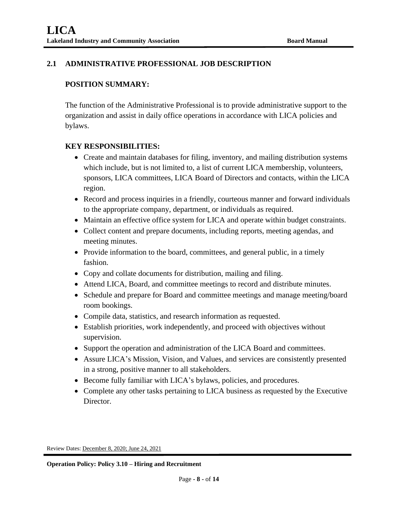## **2.1 ADMINISTRATIVE PROFESSIONAL JOB DESCRIPTION**

### **POSITION SUMMARY:**

The function of the Administrative Professional is to provide administrative support to the organization and assist in daily office operations in accordance with LICA policies and bylaws.

### **KEY RESPONSIBILITIES:**

- Create and maintain databases for filing, inventory, and mailing distribution systems which include, but is not limited to, a list of current LICA membership, volunteers, sponsors, LICA committees, LICA Board of Directors and contacts, within the LICA region.
- Record and process inquiries in a friendly, courteous manner and forward individuals to the appropriate company, department, or individuals as required.
- Maintain an effective office system for LICA and operate within budget constraints.
- Collect content and prepare documents, including reports, meeting agendas, and meeting minutes.
- Provide information to the board, committees, and general public, in a timely fashion.
- Copy and collate documents for distribution, mailing and filing.
- Attend LICA, Board, and committee meetings to record and distribute minutes.
- Schedule and prepare for Board and committee meetings and manage meeting/board room bookings.
- Compile data, statistics, and research information as requested.
- Establish priorities, work independently, and proceed with objectives without supervision.
- Support the operation and administration of the LICA Board and committees.
- Assure LICA's Mission, Vision, and Values, and services are consistently presented in a strong, positive manner to all stakeholders.
- Become fully familiar with LICA's bylaws, policies, and procedures.
- Complete any other tasks pertaining to LICA business as requested by the Executive Director.

Review Dates: December 8, 2020; June 24, 2021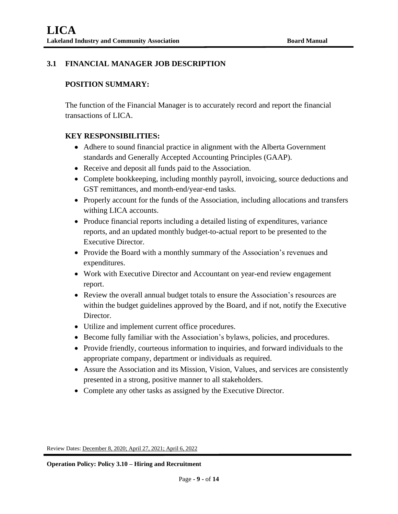# **3.1 FINANCIAL MANAGER JOB DESCRIPTION**

## **POSITION SUMMARY:**

The function of the Financial Manager is to accurately record and report the financial transactions of LICA.

## **KEY RESPONSIBILITIES:**

- Adhere to sound financial practice in alignment with the Alberta Government standards and Generally Accepted Accounting Principles (GAAP).
- Receive and deposit all funds paid to the Association.
- Complete bookkeeping, including monthly payroll, invoicing, source deductions and GST remittances, and month-end/year-end tasks.
- Properly account for the funds of the Association, including allocations and transfers withing LICA accounts.
- Produce financial reports including a detailed listing of expenditures, variance reports, and an updated monthly budget-to-actual report to be presented to the Executive Director.
- Provide the Board with a monthly summary of the Association's revenues and expenditures.
- Work with Executive Director and Accountant on year-end review engagement report.
- Review the overall annual budget totals to ensure the Association's resources are within the budget guidelines approved by the Board, and if not, notify the Executive Director.
- Utilize and implement current office procedures.
- Become fully familiar with the Association's bylaws, policies, and procedures.
- Provide friendly, courteous information to inquiries, and forward individuals to the appropriate company, department or individuals as required.
- Assure the Association and its Mission, Vision, Values, and services are consistently presented in a strong, positive manner to all stakeholders.
- Complete any other tasks as assigned by the Executive Director.

Review Dates: December 8, 2020; April 27, 2021; April 6, 2022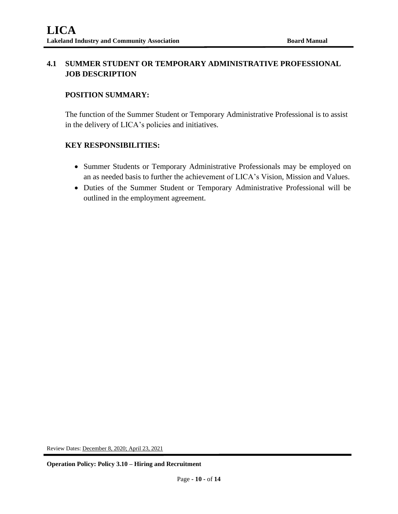# **4.1 SUMMER STUDENT OR TEMPORARY ADMINISTRATIVE PROFESSIONAL JOB DESCRIPTION**

## **POSITION SUMMARY:**

The function of the Summer Student or Temporary Administrative Professional is to assist in the delivery of LICA's policies and initiatives.

## **KEY RESPONSIBILITIES:**

- Summer Students or Temporary Administrative Professionals may be employed on an as needed basis to further the achievement of LICA's Vision, Mission and Values.
- Duties of the Summer Student or Temporary Administrative Professional will be outlined in the employment agreement.

Review Dates: December 8, 2020; April 23, 2021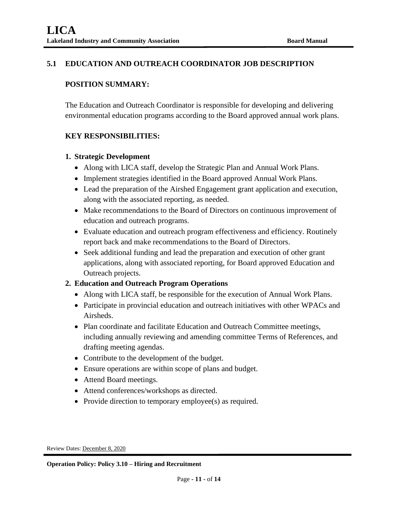## **5.1 EDUCATION AND OUTREACH COORDINATOR JOB DESCRIPTION**

### **POSITION SUMMARY:**

The Education and Outreach Coordinator is responsible for developing and delivering environmental education programs according to the Board approved annual work plans.

## **KEY RESPONSIBILITIES:**

### **1. Strategic Development**

- Along with LICA staff, develop the Strategic Plan and Annual Work Plans.
- Implement strategies identified in the Board approved Annual Work Plans.
- Lead the preparation of the Airshed Engagement grant application and execution, along with the associated reporting, as needed.
- Make recommendations to the Board of Directors on continuous improvement of education and outreach programs.
- Evaluate education and outreach program effectiveness and efficiency. Routinely report back and make recommendations to the Board of Directors.
- Seek additional funding and lead the preparation and execution of other grant applications, along with associated reporting, for Board approved Education and Outreach projects.

## **2. Education and Outreach Program Operations**

- Along with LICA staff, be responsible for the execution of Annual Work Plans.
- Participate in provincial education and outreach initiatives with other WPACs and Airsheds.
- Plan coordinate and facilitate Education and Outreach Committee meetings, including annually reviewing and amending committee Terms of References, and drafting meeting agendas.
- Contribute to the development of the budget.
- Ensure operations are within scope of plans and budget.
- Attend Board meetings.
- Attend conferences/workshops as directed.
- Provide direction to temporary employee(s) as required.

Review Dates: December 8, 2020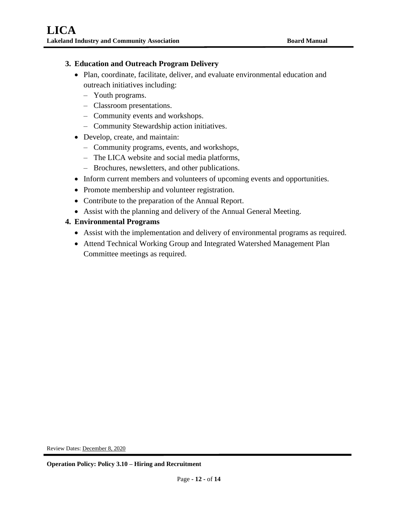### **3. Education and Outreach Program Delivery**

- Plan, coordinate, facilitate, deliver, and evaluate environmental education and outreach initiatives including:
	- ‒ Youth programs.
	- ‒ Classroom presentations.
	- ‒ Community events and workshops.
	- ‒ Community Stewardship action initiatives.
- Develop, create, and maintain:
	- ‒ Community programs, events, and workshops,
	- ‒ The LICA website and social media platforms,
	- ‒ Brochures, newsletters, and other publications.
- Inform current members and volunteers of upcoming events and opportunities.
- Promote membership and volunteer registration.
- Contribute to the preparation of the Annual Report.
- Assist with the planning and delivery of the Annual General Meeting.

## **4. Environmental Programs**

- Assist with the implementation and delivery of environmental programs as required.
- Attend Technical Working Group and Integrated Watershed Management Plan Committee meetings as required.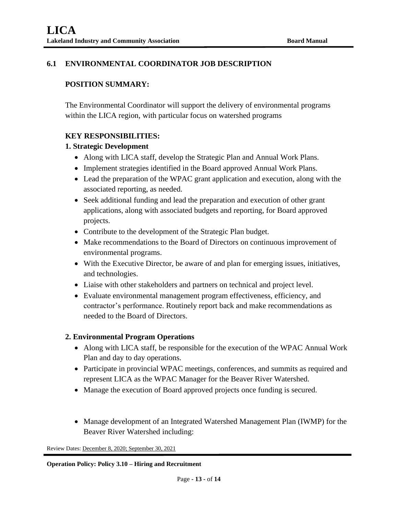## **6.1 ENVIRONMENTAL COORDINATOR JOB DESCRIPTION**

## **POSITION SUMMARY:**

The Environmental Coordinator will support the delivery of environmental programs within the LICA region, with particular focus on watershed programs

### **KEY RESPONSIBILITIES:**

### **1. Strategic Development**

- Along with LICA staff, develop the Strategic Plan and Annual Work Plans.
- Implement strategies identified in the Board approved Annual Work Plans.
- Lead the preparation of the WPAC grant application and execution, along with the associated reporting, as needed.
- Seek additional funding and lead the preparation and execution of other grant applications, along with associated budgets and reporting, for Board approved projects.
- Contribute to the development of the Strategic Plan budget.
- Make recommendations to the Board of Directors on continuous improvement of environmental programs.
- With the Executive Director, be aware of and plan for emerging issues, initiatives, and technologies.
- Liaise with other stakeholders and partners on technical and project level.
- Evaluate environmental management program effectiveness, efficiency, and contractor's performance. Routinely report back and make recommendations as needed to the Board of Directors.

### **2. Environmental Program Operations**

- Along with LICA staff, be responsible for the execution of the WPAC Annual Work Plan and day to day operations.
- Participate in provincial WPAC meetings, conferences, and summits as required and represent LICA as the WPAC Manager for the Beaver River Watershed.
- Manage the execution of Board approved projects once funding is secured.
- Manage development of an Integrated Watershed Management Plan (IWMP) for the Beaver River Watershed including:

Review Dates: December 8, 2020; September 30, 2021